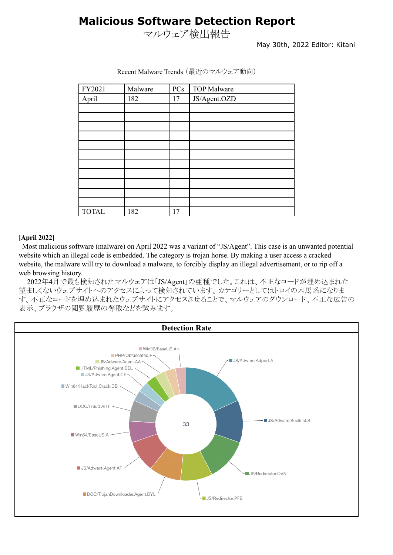## **Malicious Software Detection Report**

マルウェア検出報告

May 30th, 2022 Editor: Kitani

| FY2021       | Malware | PCs | <b>TOP Malware</b> |
|--------------|---------|-----|--------------------|
| April        | 182     | 17  | JS/Agent.OZD       |
|              |         |     |                    |
|              |         |     |                    |
|              |         |     |                    |
|              |         |     |                    |
|              |         |     |                    |
|              |         |     |                    |
|              |         |     |                    |
|              |         |     |                    |
|              |         |     |                    |
|              |         |     |                    |
|              |         |     |                    |
| <b>TOTAL</b> | 182     | 17  |                    |

Recent Malware Trends (最近のマルウェア動向)

#### **[April 2022]**

Most malicious software (malware) on April 2022 was a variant of "JS/Agent". This case is an unwanted potential website which an illegal code is embedded. The category is trojan horse. By making a user access a cracked website, the malware will try to download a malware, to forcibly display an illegal advertisement, or to rip off a web browsing history.

2022年4月で最も検知されたマルウェアは「JS/Agent」の亜種でした。これは、不正なコードが埋め込まれた 望ましくないウェブサイトへのアクセスによって検知されています。カテゴリーとしてはトロイの木馬系になりま す。不正なコードを埋め込まれたウェブサイトにアクセスさせることで、マルウェアのダウンロード、不正な広告の 表示、ブラウザの閲覧履歴の奪取などを試みます。

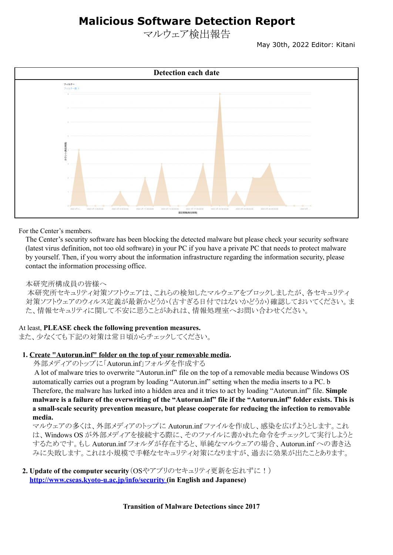## **Malicious Software Detection Report**

マルウェア検出報告

May 30th, 2022 Editor: Kitani



For the Center's members.

The Center's security software has been blocking the detected malware but please check your security software (latest virus definition, not too old software) in your PC if you have a private PC that needs to protect malware by yourself. Then, if you worry about the information infrastructure regarding the information security, please contact the information processing office.

### 本研究所構成員の皆様へ

本研究所セキュリティ対策ソフトウェアは、これらの検知したマルウェアをブロックしましたが、各セキュリティ 対策ソフトウェアのウィルス定義が最新かどうか(古すぎる日付ではないかどうか)確認しておいてください。ま た、情報セキュリティに関して不安に思うことがあれは、情報処理室へお問い合わせください。

### At least, **PLEASE check the following prevention measures.**

また、少なくても下記の対策は常日頃からチェックしてください。

#### **1. Create "Autorun.inf" folder on the top of your removable media.**

外部メディアのトップに「Autorun.inf」フォルダを作成する

A lot of malware tries to overwrite "Autorun.inf" file on the top of a removable media because Windows OS automatically carries out a program by loading "Autorun.inf" setting when the media inserts to a PC. b Therefore, the malware has lurked into a hidden area and it tries to act by loading "Autorun.inf" file. **Simple** malware is a failure of the overwriting of the "Autorun.inf" file if the "Autorun.inf" folder exists. This is **a small-scale security prevention measure, but please cooperate for reducing the infection to removable media.**

マルウェアの多くは、外部メディアのトップに Autorun.inf ファイルを作成し、感染を広げようとします。これ は、Windows OS が外部メディアを接続する際に、そのファイルに書かれた命令をチェックして実行しようと するためです。もし Autorun.inf フォルダが存在すると、単純なマルウェアの場合、Autorun.inf への書き込 みに失敗します。これは小規模で手軽なセキュリティ対策になりますが、過去に効果が出たことあります。

### **2. Update of the computer security**(OSやアプリのセキュリティ更新を忘れずに!) **<http://www.cseas.kyoto-u.ac.jp/info/security> (in English and Japanese)**

**Transition of Malware Detections since 2017**